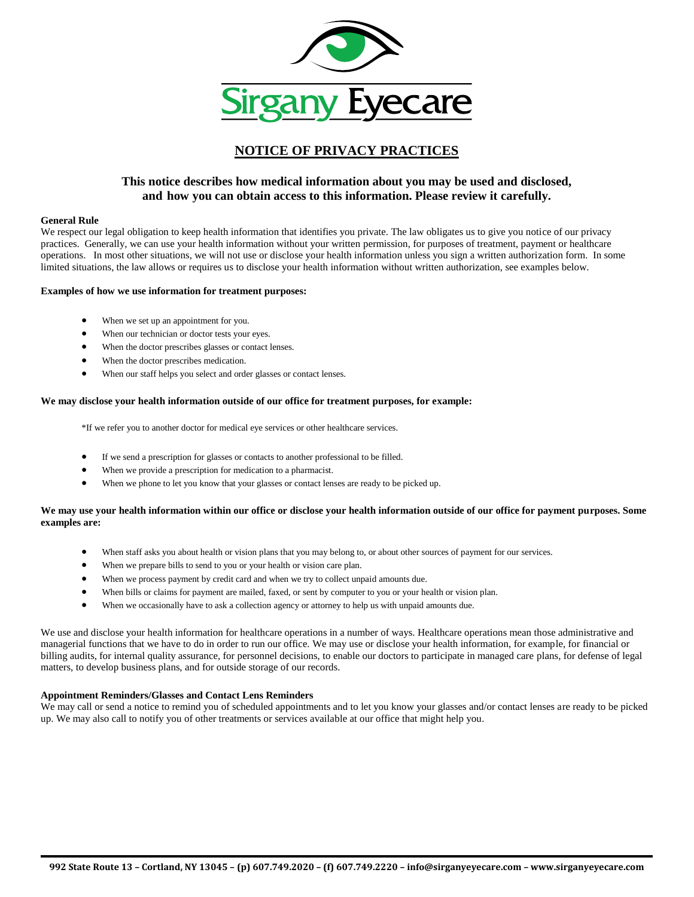

# **NOTICE OF PRIVACY PRACTICES**

# **This notice describes how medical information about you may be used and disclosed, and how you can obtain access to this information. Please review it carefully.**

#### **General Rule**

We respect our legal obligation to keep health information that identifies you private. The law obligates us to give you notice of our privacy practices. Generally, we can use your health information without your written permission, for purposes of treatment, payment or healthcare operations. In most other situations, we will not use or disclose your health information unless you sign a written authorization form. In some limited situations, the law allows or requires us to disclose your health information without written authorization, see examples below.

#### **Examples of how we use information for treatment purposes:**

- When we set up an appointment for you.
- When our technician or doctor tests your eyes.
- When the doctor prescribes glasses or contact lenses.
- When the doctor prescribes medication.
- When our staff helps you select and order glasses or contact lenses.

### **We may disclose your health information outside of our office for treatment purposes, for example:**

\*If we refer you to another doctor for medical eye services or other healthcare services.

- If we send a prescription for glasses or contacts to another professional to be filled.
- When we provide a prescription for medication to a pharmacist.
- When we phone to let you know that your glasses or contact lenses are ready to be picked up.

# **We may use your health information within our office or disclose your health information outside of our office for payment purposes. Some examples are:**

- When staff asks you about health or vision plans that you may belong to, or about other sources of payment for our services.
- When we prepare bills to send to you or your health or vision care plan.
- When we process payment by credit card and when we try to collect unpaid amounts due.
- When bills or claims for payment are mailed, faxed, or sent by computer to you or your health or vision plan.
- When we occasionally have to ask a collection agency or attorney to help us with unpaid amounts due.

We use and disclose your health information for healthcare operations in a number of ways. Healthcare operations mean those administrative and managerial functions that we have to do in order to run our office. We may use or disclose your health information, for example, for financial or billing audits, for internal quality assurance, for personnel decisions, to enable our doctors to participate in managed care plans, for defense of legal matters, to develop business plans, and for outside storage of our records.

## **Appointment Reminders/Glasses and Contact Lens Reminders**

We may call or send a notice to remind you of scheduled appointments and to let you know your glasses and/or contact lenses are ready to be picked up. We may also call to notify you of other treatments or services available at our office that might help you.